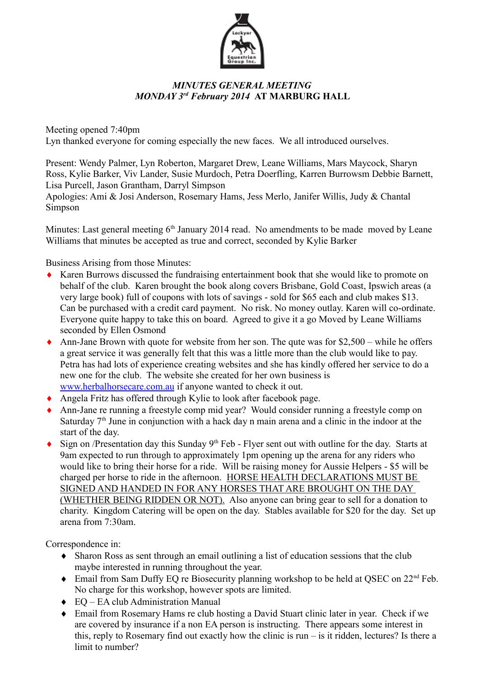

## *MINUTES GENERAL MEETING MONDAY 3rd February 2014* **AT MARBURG HALL**

Meeting opened 7:40pm Lyn thanked everyone for coming especially the new faces. We all introduced ourselves.

Present: Wendy Palmer, Lyn Roberton, Margaret Drew, Leane Williams, Mars Maycock, Sharyn Ross, Kylie Barker, Viv Lander, Susie Murdoch, Petra Doerfling, Karren Burrowsm Debbie Barnett, Lisa Purcell, Jason Grantham, Darryl Simpson

Apologies: Ami & Josi Anderson, Rosemary Hams, Jess Merlo, Janifer Willis, Judy & Chantal Simpson

Minutes: Last general meeting  $6<sup>th</sup>$  January 2014 read. No amendments to be made moved by Leane Williams that minutes be accepted as true and correct, seconded by Kylie Barker

Business Arising from those Minutes:

- Karen Burrows discussed the fundraising entertainment book that she would like to promote on behalf of the club. Karen brought the book along covers Brisbane, Gold Coast, Ipswich areas (a very large book) full of coupons with lots of savings - sold for \$65 each and club makes \$13. Can be purchased with a credit card payment. No risk. No money outlay. Karen will co-ordinate. Everyone quite happy to take this on board. Agreed to give it a go Moved by Leane Williams seconded by Ellen Osmond
- Ann-Jane Brown with quote for website from her son. The qute was for  $$2,500$  while he offers a great service it was generally felt that this was a little more than the club would like to pay. Petra has had lots of experience creating websites and she has kindly offered her service to do a new one for the club. The website she created for her own business is www.herbalhorsecare.com.au if anyone wanted to check it out.
- Angela Fritz has offered through Kylie to look after facebook page.
- Ann-Jane re running a freestyle comp mid year? Would consider running a freestyle comp on Saturday  $7<sup>th</sup>$  June in conjunction with a hack day n main arena and a clinic in the indoor at the start of the day.
- $\bullet$  Sign on /Presentation day this Sunday 9<sup>th</sup> Feb Flyer sent out with outline for the day. Starts at 9am expected to run through to approximately 1pm opening up the arena for any riders who would like to bring their horse for a ride. Will be raising money for Aussie Helpers - \$5 will be charged per horse to ride in the afternoon. HORSE HEALTH DECLARATIONS MUST BE SIGNED AND HANDED IN FOR ANY HORSES THAT ARE BROUGHT ON THE DAY (WHETHER BEING RIDDEN OR NOT). Also anyone can bring gear to sell for a donation to charity. Kingdom Catering will be open on the day. Stables available for \$20 for the day. Set up arena from 7:30am.

Correspondence in:

- Sharon Ross as sent through an email outlining a list of education sessions that the club maybe interested in running throughout the year.
- $\bullet$  Email from Sam Duffy EQ re Biosecurity planning workshop to be held at OSEC on 22<sup>nd</sup> Feb. No charge for this workshop, however spots are limited.
- ◆ EQ EA club Administration Manual
- Email from Rosemary Hams re club hosting a David Stuart clinic later in year. Check if we are covered by insurance if a non EA person is instructing. There appears some interest in this, reply to Rosemary find out exactly how the clinic is run – is it ridden, lectures? Is there a limit to number?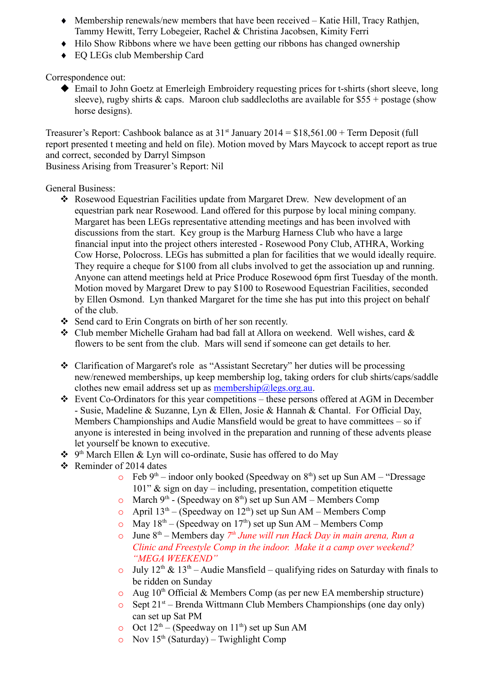- Membership renewals/new members that have been received Katie Hill, Tracy Rathjen, Tammy Hewitt, Terry Lobegeier, Rachel & Christina Jacobsen, Kimity Ferri
- $\leftrightarrow$  Hilo Show Ribbons where we have been getting our ribbons has changed ownership
- EQ LEGs club Membership Card

Correspondence out:

 Email to John Goetz at Emerleigh Embroidery requesting prices for t-shirts (short sleeve, long sleeve), rugby shirts  $\&$  caps. Maroon club saddlecloths are available for \$55 + postage (show horse designs).

Treasurer's Report: Cashbook balance as at  $31<sup>st</sup>$  January  $2014 = $18,561.00 + Term$  Deposit (full report presented t meeting and held on file). Motion moved by Mars Maycock to accept report as true and correct, seconded by Darryl Simpson

Business Arising from Treasurer's Report: Nil

General Business:

- Rosewood Equestrian Facilities update from Margaret Drew. New development of an equestrian park near Rosewood. Land offered for this purpose by local mining company. Margaret has been LEGs representative attending meetings and has been involved with discussions from the start. Key group is the Marburg Harness Club who have a large financial input into the project others interested - Rosewood Pony Club, ATHRA, Working Cow Horse, Polocross. LEGs has submitted a plan for facilities that we would ideally require. They require a cheque for \$100 from all clubs involved to get the association up and running. Anyone can attend meetings held at Price Produce Rosewood 6pm first Tuesday of the month. Motion moved by Margaret Drew to pay \$100 to Rosewood Equestrian Facilities, seconded by Ellen Osmond. Lyn thanked Margaret for the time she has put into this project on behalf of the club.
- Send card to Erin Congrats on birth of her son recently.
- \* Club member Michelle Graham had bad fall at Allora on weekend. Well wishes, card & flowers to be sent from the club. Mars will send if someone can get details to her.
- Clarification of Margaret's role as "Assistant Secretary" her duties will be processing new/renewed memberships, up keep membership log, taking orders for club shirts/caps/saddle clothes new email address set up as  $m$ embership@legs.org.au.
- $\div$  Event Co-Ordinators for this year competitions these persons offered at AGM in December - Susie, Madeline & Suzanne, Lyn & Ellen, Josie & Hannah & Chantal. For Official Day, Members Championships and Audie Mansfield would be great to have committees – so if anyone is interested in being involved in the preparation and running of these advents please let yourself be known to executive.
- **❖** 9<sup>th</sup> March Ellen & Lyn will co-ordinate, Susie has offered to do May
- $\div$  Reminder of 2014 dates
	- $\circ$  Feb 9<sup>th</sup> indoor only booked (Speedway on 8<sup>th</sup>) set up Sun AM "Dressage 101" & sign on day – including, presentation, competition etiquette
	- $\circ$  March 9<sup>th</sup> (Speedway on 8<sup>th</sup>) set up Sun AM Members Comp
	- o April  $13<sup>th</sup>$  (Speedway on  $12<sup>th</sup>$ ) set up Sun AM Members Comp
	- $\sim$  May  $18^{th}$  (Speedway on 17<sup>th</sup>) set up Sun AM Members Comp
	- o June 8th Members day *7 th June will run Hack Day in main arena, Run a Clinic and Freestyle Comp in the indoor. Make it a camp over weekend? "MEGA WEEKEND"*
	- o July  $12^{th}$  &  $13^{th}$  Audie Mansfield qualifying rides on Saturday with finals to be ridden on Sunday
	- $\circ$  Aug 10<sup>th</sup> Official & Members Comp (as per new EA membership structure)
	- $\circ$  Sept 21<sup>st</sup> Brenda Wittmann Club Members Championships (one day only) can set up Sat PM
	- o Oct  $12^{th}$  (Speedway on  $11^{th}$ ) set up Sun AM
	- $\circ$  Nov 15<sup>th</sup> (Saturday) Twighlight Comp